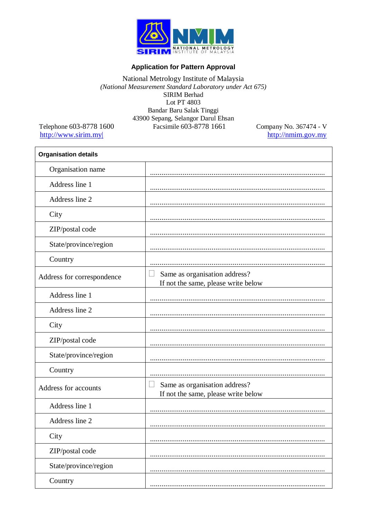

## **Application for Pattern Approval**

## National Metrology Institute of Malaysia<br>(National Measurement Standard Laboratory under Act 675) **SIRIM Berhad** Lot PT 4803 Bandar Baru Salak Tinggi 43900 Sepang, Selangor Darul Ehsan Facsimile 603-8778 1661

Telephone 603-8778 1600 http://www.sirim.my

Company No. 367474 - V  $\frac{\text{http://nmin.gov.my}}{\text{http://nmin.gov.my}}$ 

| <b>Organisation details</b> |                                                                                      |
|-----------------------------|--------------------------------------------------------------------------------------|
| Organisation name           |                                                                                      |
| Address line 1              |                                                                                      |
| Address line 2              |                                                                                      |
| City                        |                                                                                      |
| ZIP/postal code             |                                                                                      |
| State/province/region       |                                                                                      |
| Country                     |                                                                                      |
| Address for correspondence  | Same as organisation address?<br>If not the same, please write below                 |
| Address line 1              |                                                                                      |
| Address line 2              |                                                                                      |
| City                        |                                                                                      |
| ZIP/postal code             |                                                                                      |
| State/province/region       |                                                                                      |
| Country                     |                                                                                      |
| Address for accounts        | Same as organisation address?<br>$\mathbf{L}$<br>If not the same, please write below |
| Address line 1              |                                                                                      |
| Address line 2              |                                                                                      |
| City                        |                                                                                      |
| ZIP/postal code             |                                                                                      |
| State/province/region       |                                                                                      |
| Country                     |                                                                                      |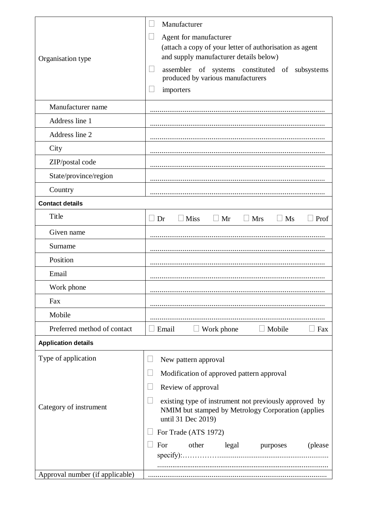|                                 | Manufacturer                                                                                                                       |
|---------------------------------|------------------------------------------------------------------------------------------------------------------------------------|
|                                 | Agent for manufacturer                                                                                                             |
|                                 | (attach a copy of your letter of authorisation as agent                                                                            |
| Organisation type               | and supply manufacturer details below)                                                                                             |
|                                 | assembler of systems constituted of subsystems<br>produced by various manufacturers                                                |
|                                 | importers                                                                                                                          |
| Manufacturer name               |                                                                                                                                    |
| Address line 1                  |                                                                                                                                    |
| Address line 2                  |                                                                                                                                    |
| City                            |                                                                                                                                    |
| ZIP/postal code                 |                                                                                                                                    |
| State/province/region           |                                                                                                                                    |
| Country                         |                                                                                                                                    |
| <b>Contact details</b>          |                                                                                                                                    |
| Title                           | <b>Miss</b><br>$\Box$ Mr<br>$\Box$ Ms<br>$\perp$ Dr<br>$\Box$ Mrs<br>Prof                                                          |
| Given name                      |                                                                                                                                    |
| Surname                         |                                                                                                                                    |
| Position                        |                                                                                                                                    |
| Email                           |                                                                                                                                    |
| Work phone                      |                                                                                                                                    |
| Fax                             |                                                                                                                                    |
| Mobile                          |                                                                                                                                    |
| Preferred method of contact     | Work phone<br>$\Box$ Mobile<br>Email<br>$\Box$ Fax<br>⊔                                                                            |
| <b>Application details</b>      |                                                                                                                                    |
| Type of application             | New pattern approval                                                                                                               |
|                                 | Modification of approved pattern approval                                                                                          |
|                                 | Review of approval                                                                                                                 |
| Category of instrument          | existing type of instrument not previously approved by<br>NMIM but stamped by Metrology Corporation (applies<br>until 31 Dec 2019) |
|                                 | For Trade (ATS 1972)                                                                                                               |
|                                 | other<br>For<br>legal<br>purposes<br>(please)                                                                                      |
| Approval number (if applicable) |                                                                                                                                    |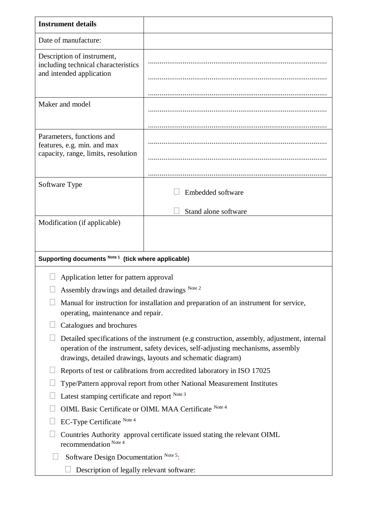| <b>Instrument details</b>                                                                                                                                                                                                                                                  |                                                                                       |  |
|----------------------------------------------------------------------------------------------------------------------------------------------------------------------------------------------------------------------------------------------------------------------------|---------------------------------------------------------------------------------------|--|
| Date of manufacture:                                                                                                                                                                                                                                                       |                                                                                       |  |
| Description of instrument,<br>including technical characteristics<br>and intended application                                                                                                                                                                              |                                                                                       |  |
| Maker and model                                                                                                                                                                                                                                                            |                                                                                       |  |
| Parameters, functions and<br>features, e.g. min. and max<br>capacity, range, limits, resolution                                                                                                                                                                            |                                                                                       |  |
| Software Type                                                                                                                                                                                                                                                              | Embedded software<br>Stand alone software                                             |  |
| Modification (if applicable)                                                                                                                                                                                                                                               |                                                                                       |  |
| Supporting documents Note 1 (tick where applicable)                                                                                                                                                                                                                        |                                                                                       |  |
| Application letter for pattern approval<br>Assembly drawings and detailed drawings Note 2<br>operating, maintenance and repair.                                                                                                                                            | Manual for instruction for installation and preparation of an instrument for service, |  |
| Catalogues and brochures<br>Detailed specifications of the instrument (e.g construction, assembly, adjustment, internal<br>operation of the instrument, safety devices, self-adjusting mechanisms, assembly<br>drawings, detailed drawings, layouts and schematic diagram) |                                                                                       |  |
| Reports of test or calibrations from accredited laboratory in ISO 17025                                                                                                                                                                                                    |                                                                                       |  |
| Type/Pattern approval report from other National Measurement Institutes                                                                                                                                                                                                    |                                                                                       |  |
| Latest stamping certificate and report Note 3<br>OIML Basic Certificate or OIML MAA Certificate Note 4                                                                                                                                                                     |                                                                                       |  |
| EC-Type Certificate Note 4                                                                                                                                                                                                                                                 |                                                                                       |  |
| Countries Authority approval certificate issued stating the relevant OIML<br>recommendation <sup>Note 4</sup>                                                                                                                                                              |                                                                                       |  |
| Software Design Documentation Note 5:                                                                                                                                                                                                                                      |                                                                                       |  |
| Description of legally relevant software:                                                                                                                                                                                                                                  |                                                                                       |  |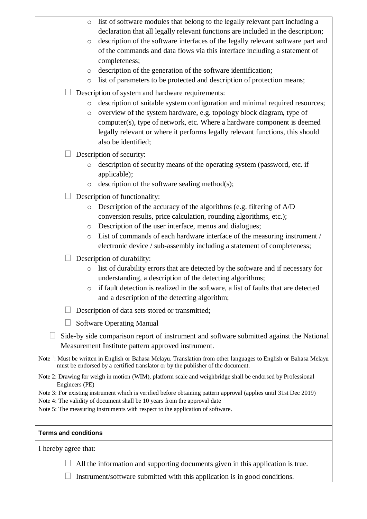| list of software modules that belong to the legally relevant part including a<br>$\circ$                                                                                                                         |  |  |
|------------------------------------------------------------------------------------------------------------------------------------------------------------------------------------------------------------------|--|--|
| declaration that all legally relevant functions are included in the description;                                                                                                                                 |  |  |
| description of the software interfaces of the legally relevant software part and<br>$\circ$                                                                                                                      |  |  |
| of the commands and data flows via this interface including a statement of                                                                                                                                       |  |  |
| completeness;                                                                                                                                                                                                    |  |  |
| description of the generation of the software identification;<br>$\circ$<br>list of parameters to be protected and description of protection means;                                                              |  |  |
| $\circ$                                                                                                                                                                                                          |  |  |
| Description of system and hardware requirements:                                                                                                                                                                 |  |  |
| description of suitable system configuration and minimal required resources;<br>$\circ$                                                                                                                          |  |  |
| overview of the system hardware, e.g. topology block diagram, type of<br>$\circ$                                                                                                                                 |  |  |
| computer(s), type of network, etc. Where a hardware component is deemed<br>legally relevant or where it performs legally relevant functions, this should                                                         |  |  |
| also be identified;                                                                                                                                                                                              |  |  |
|                                                                                                                                                                                                                  |  |  |
| Description of security:                                                                                                                                                                                         |  |  |
| description of security means of the operating system (password, etc. if<br>$\circ$<br>applicable);                                                                                                              |  |  |
| description of the software sealing method(s);<br>$\circ$                                                                                                                                                        |  |  |
|                                                                                                                                                                                                                  |  |  |
| Description of functionality:<br>Description of the accuracy of the algorithms (e.g. filtering of A/D                                                                                                            |  |  |
| $\circ$<br>conversion results, price calculation, rounding algorithms, etc.);                                                                                                                                    |  |  |
| Description of the user interface, menus and dialogues;<br>$\circ$                                                                                                                                               |  |  |
| List of commands of each hardware interface of the measuring instrument /<br>$\circ$                                                                                                                             |  |  |
| electronic device / sub-assembly including a statement of completeness;                                                                                                                                          |  |  |
| Description of durability:                                                                                                                                                                                       |  |  |
| list of durability errors that are detected by the software and if necessary for<br>$\circ$                                                                                                                      |  |  |
| understanding, a description of the detecting algorithms;                                                                                                                                                        |  |  |
| if fault detection is realized in the software, a list of faults that are detected<br>$\circ$                                                                                                                    |  |  |
| and a description of the detecting algorithm;                                                                                                                                                                    |  |  |
| Description of data sets stored or transmitted;                                                                                                                                                                  |  |  |
| <b>Software Operating Manual</b>                                                                                                                                                                                 |  |  |
| Side-by side comparison report of instrument and software submitted against the National                                                                                                                         |  |  |
| Measurement Institute pattern approved instrument.                                                                                                                                                               |  |  |
| Note <sup>1</sup> : Must be written in English or Bahasa Melayu. Translation from other languages to English or Bahasa Melayu<br>must be endorsed by a certified translator or by the publisher of the document. |  |  |
| Note 2: Drawing for weigh in motion (WIM), platform scale and weighbridge shall be endorsed by Professional                                                                                                      |  |  |
| Engineers (PE)                                                                                                                                                                                                   |  |  |
| Note 3: For existing instrument which is verified before obtaining pattern approval (applies until 31st Dec 2019)<br>Note 4: The validity of document shall be 10 years from the approval date                   |  |  |
| Note 5: The measuring instruments with respect to the application of software.                                                                                                                                   |  |  |
|                                                                                                                                                                                                                  |  |  |
| <b>Terms and conditions</b>                                                                                                                                                                                      |  |  |
| I hereby agree that:                                                                                                                                                                                             |  |  |
|                                                                                                                                                                                                                  |  |  |
| All the information and supporting documents given in this application is true.                                                                                                                                  |  |  |

 $\Box$  Instrument/software submitted with this application is in good conditions.